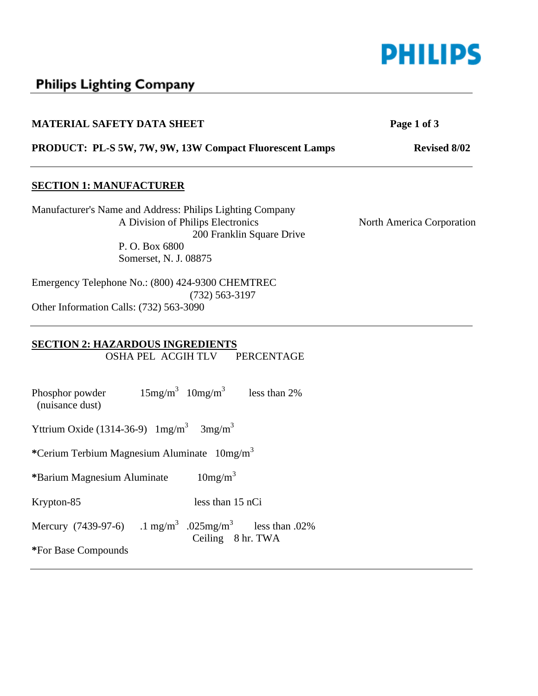

# Philips Lighting Company

| <b>MATERIAL SAFETY DATA SHEET</b>                         | Page 1 of 3               |
|-----------------------------------------------------------|---------------------------|
| PRODUCT: PL-S 5W, 7W, 9W, 13W Compact Fluorescent Lamps   | <b>Revised 8/02</b>       |
| <b>SECTION 1: MANUFACTURER</b>                            |                           |
| Manufacturer's Name and Address: Philips Lighting Company |                           |
| A Division of Philips Electronics                         | North America Corporation |
| 200 Franklin Square Drive                                 |                           |
| P. O. Box 6800                                            |                           |
| Somerset, N. J. 08875                                     |                           |
| Emergency Telephone No.: (800) 424-9300 CHEMTREC          |                           |
| $(732)$ 563-3197                                          |                           |
| Other Information Calls: (732) 563-3090                   |                           |

# **SECTION 2: HAZARDOUS INGREDIENTS**

OSHA PEL ACGIH TLV PERCENTAGE

Mercury (7439-97-6) .1 mg/m<sup>3</sup> .025mg/m<sup>3</sup> less than .02% Ceiling 8 hr. TWA Phosphor powder  $15mg/m^3$  10mg/m<sup>3</sup> less than 2% (nuisance dust) Yttrium Oxide (1314-36-9)  $1 \text{mg/m}^3$  3mg/m<sup>3</sup> **\***Cerium Terbium Magnesium Aluminate 10mg/m<sup>3</sup> **\***Barium Magnesium Aluminate 10mg/m<sup>3</sup> Krypton-85 less than 15 nCi **\***For Base Compounds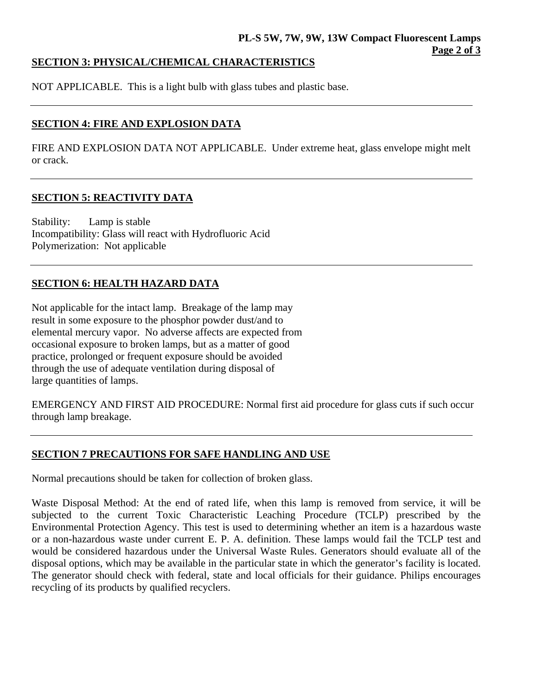#### **SECTION 3: PHYSICAL/CHEMICAL CHARACTERISTICS**

NOT APPLICABLE. This is a light bulb with glass tubes and plastic base.

### **SECTION 4: FIRE AND EXPLOSION DATA**

FIRE AND EXPLOSION DATA NOT APPLICABLE. Under extreme heat, glass envelope might melt or crack.

### **SECTION 5: REACTIVITY DATA**

Stability: Lamp is stable Incompatibility: Glass will react with Hydrofluoric Acid Polymerization: Not applicable

## **SECTION 6: HEALTH HAZARD DATA**

Not applicable for the intact lamp. Breakage of the lamp may result in some exposure to the phosphor powder dust/and to elemental mercury vapor. No adverse affects are expected from occasional exposure to broken lamps, but as a matter of good practice, prolonged or frequent exposure should be avoided through the use of adequate ventilation during disposal of large quantities of lamps.

EMERGENCY AND FIRST AID PROCEDURE: Normal first aid procedure for glass cuts if such occur through lamp breakage.

#### **SECTION 7 PRECAUTIONS FOR SAFE HANDLING AND USE**

Normal precautions should be taken for collection of broken glass.

Waste Disposal Method: At the end of rated life, when this lamp is removed from service, it will be subjected to the current Toxic Characteristic Leaching Procedure (TCLP) prescribed by the Environmental Protection Agency. This test is used to determining whether an item is a hazardous waste or a non-hazardous waste under current E. P. A. definition. These lamps would fail the TCLP test and would be considered hazardous under the Universal Waste Rules. Generators should evaluate all of the disposal options, which may be available in the particular state in which the generator's facility is located. The generator should check with federal, state and local officials for their guidance. Philips encourages recycling of its products by qualified recyclers.